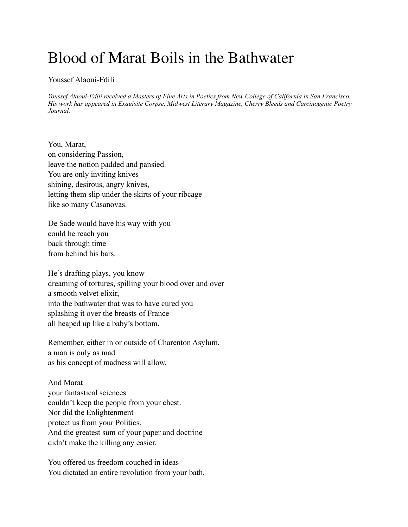## Blood of Marat Boils in the Bathwater

## Youssef Alaoui-Fdili

*Youssef Alaoui-Fdili received a Masters of Fine Arts in Poetics from New College of California in San Francisco. His work has appeared in Exquisite Corpse, Midwest Literary Magazine, Cherry Bleeds and Carcinogenic Poetry Journal.*

You, Marat, on considering Passion, leave the notion padded and pansied. You are only inviting knives shining, desirous, angry knives, letting them slip under the skirts of your ribcage like so many Casanovas.

De Sade would have his way with you could he reach you back through time from behind his bars.

He's drafting plays, you know dreaming of tortures, spilling your blood over and over a smooth velvet elixir, into the bathwater that was to have cured you splashing it over the breasts of France all heaped up like a baby's bottom.

Remember, either in or outside of Charenton Asylum, a man is only as mad as his concept of madness will allow.

And Marat your fantastical sciences couldn't keep the people from your chest. Nor did the Enlightenment protect us from your Politics. And the greatest sum of your paper and doctrine didn't make the killing any easier.

You offered us freedom couched in ideas You dictated an entire revolution from your bath.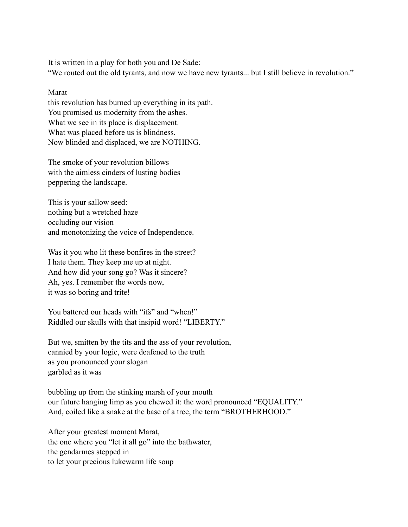It is written in a play for both you and De Sade:

"We routed out the old tyrants, and now we have new tyrants... but I still believe in revolution."

Marat—

this revolution has burned up everything in its path. You promised us modernity from the ashes. What we see in its place is displacement. What was placed before us is blindness. Now blinded and displaced, we are NOTHING.

The smoke of your revolution billows with the aimless cinders of lusting bodies peppering the landscape.

This is your sallow seed: nothing but a wretched haze occluding our vision and monotonizing the voice of Independence.

Was it you who lit these bonfires in the street? I hate them. They keep me up at night. And how did your song go? Was it sincere? Ah, yes. I remember the words now, it was so boring and trite!

You battered our heads with "ifs" and "when!" Riddled our skulls with that insipid word! "LIBERTY."

But we, smitten by the tits and the ass of your revolution, cannied by your logic, were deafened to the truth as you pronounced your slogan garbled as it was

bubbling up from the stinking marsh of your mouth our future hanging limp as you chewed it: the word pronounced "EQUALITY." And, coiled like a snake at the base of a tree, the term "BROTHERHOOD."

After your greatest moment Marat, the one where you "let it all go" into the bathwater, the gendarmes stepped in to let your precious lukewarm life soup